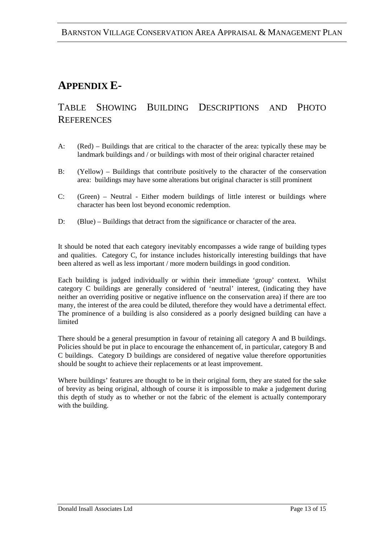## **APPENDIX E-**

## TABLE SHOWING BUILDING DESCRIPTIONS AND PHOTO **REFERENCES**

- A: (Red) Buildings that are critical to the character of the area: typically these may be landmark buildings and / or buildings with most of their original character retained
- B: (Yellow) Buildings that contribute positively to the character of the conservation area: buildings may have some alterations but original character is still prominent
- C: (Green) Neutral Either modern buildings of little interest or buildings where character has been lost beyond economic redemption.
- D: (Blue) Buildings that detract from the significance or character of the area.

It should be noted that each category inevitably encompasses a wide range of building types and qualities. Category C, for instance includes historically interesting buildings that have been altered as well as less important / more modern buildings in good condition.

Each building is judged individually or within their immediate 'group' context. Whilst category C buildings are generally considered of 'neutral' interest, (indicating they have neither an overriding positive or negative influence on the conservation area) if there are too many, the interest of the area could be diluted, therefore they would have a detrimental effect. The prominence of a building is also considered as a poorly designed building can have a limited

There should be a general presumption in favour of retaining all category A and B buildings. Policies should be put in place to encourage the enhancement of, in particular, category B and C buildings. Category D buildings are considered of negative value therefore opportunities should be sought to achieve their replacements or at least improvement.

Where buildings' features are thought to be in their original form, they are stated for the sake of brevity as being original, although of course it is impossible to make a judgement during this depth of study as to whether or not the fabric of the element is actually contemporary with the building.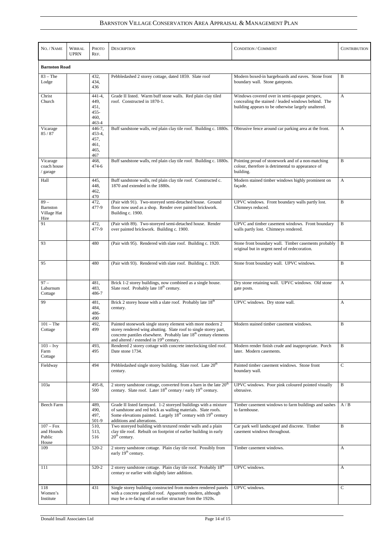## BARNSTON VILLAGE CONSERVATION AREA APPRAISAL & MANAGEMENT PLAN

| NO. / NAME                                   | <b>WIRRAL</b><br><b>UPRN</b> | Рното<br>REF.                                               | <b>DESCRIPTION</b>                                                                                                                                                                                                                                          | <b>CONDITION / COMMENT</b>                                                                                                                                 | <b>CONTRIBUTION</b> |  |  |  |
|----------------------------------------------|------------------------------|-------------------------------------------------------------|-------------------------------------------------------------------------------------------------------------------------------------------------------------------------------------------------------------------------------------------------------------|------------------------------------------------------------------------------------------------------------------------------------------------------------|---------------------|--|--|--|
| <b>Barnston Road</b>                         |                              |                                                             |                                                                                                                                                                                                                                                             |                                                                                                                                                            |                     |  |  |  |
| $83 - The$<br>Lodge                          |                              | 432,<br>434,<br>436                                         | Pebbledashed 2 storey cottage, dated 1859. Slate roof                                                                                                                                                                                                       | Modern boxed-in bargeboards and eaves. Stone front<br>boundary wall. Stone gateposts.                                                                      | B                   |  |  |  |
| Christ<br>Church                             |                              | $441 - 4$ ,<br>449,<br>451,<br>$455 -$<br>460,<br>$463 - 4$ | Grade II listed. Warm buff stone walls. Red plain clay tiled<br>roof. Constructed in 1870-1.                                                                                                                                                                | Windows covered over in semi-opaque perspex,<br>concealing the stained / leaded windows behind. The<br>building appears to be otherwise largely unaltered. | A                   |  |  |  |
| Vicarage<br>85 / 87                          |                              | 446-7,<br>453-4,<br>457,<br>461,<br>465,<br>467             | Buff sandstone walls, red plain clay tile roof. Building c. 1880s.                                                                                                                                                                                          | Obtrusive fence around car parking area at the front.                                                                                                      | A                   |  |  |  |
| Vicarage<br>coach house<br>/ garage          |                              | 468,<br>$474 - 6$                                           | Buff sandstone walls, red plain clay tile roof. Building c. 1880s.                                                                                                                                                                                          | Pointing proud of stonework and of a non-matching<br>colour, therefore is detrimental to appearance of<br>building.                                        | B                   |  |  |  |
| Hall                                         |                              | 445,<br>448,<br>462,<br>470                                 | Buff sandstone walls, red plain clay tile roof. Constructed c.<br>1870 and extended in the 1880s.                                                                                                                                                           | Modern stained timber windows highly prominent on<br>façade.                                                                                               | A                   |  |  |  |
| $89 -$<br>Barnston<br>Village Hat<br>Hire    |                              | 472,<br>477-9                                               | (Pair with 91). Two-storeyed semi-detached house. Ground<br>floor now used as a shop. Render over painted brickwork.<br>Building c. 1900.                                                                                                                   | UPVC windows. Front boundary walls partly lost.<br>Chimneys reduced.                                                                                       | B                   |  |  |  |
| 91                                           |                              | 472,<br>477-9                                               | (Pair with 89). Two-storeyed semi-detached house. Render<br>over painted brickwork. Building c. 1900.                                                                                                                                                       | UPVC and timber casement windows. Front boundary<br>walls partly lost. Chimneys rendered.                                                                  | B                   |  |  |  |
| 93                                           |                              | 480                                                         | (Pair with 95). Rendered with slate roof. Building c. 1920.                                                                                                                                                                                                 | original but in urgent need of redecoration.                                                                                                               |                     |  |  |  |
| 95                                           |                              | 480                                                         | (Pair with 93). Rendered with slate roof. Building c. 1920.                                                                                                                                                                                                 | Stone front boundary wall. UPVC windows.                                                                                                                   | B                   |  |  |  |
| $97 -$<br>Laburnum<br>Cottage                |                              | 481,<br>483,<br>486-7                                       | Brick 1-2 storey buildings, now combined as a single house.<br>Slate roof. Probably late 18 <sup>th</sup> century.                                                                                                                                          | Dry stone retaining wall. UPVC windows. Old stone<br>gate posts.                                                                                           | A                   |  |  |  |
| 99                                           |                              | 481,<br>484,<br>486-<br>490                                 | Brick 2 storey house with a slate roof. Probably late 18 <sup>th</sup><br>century.                                                                                                                                                                          | UPVC windows. Dry stone wall.                                                                                                                              | A                   |  |  |  |
| $101 - The$<br>Cottage                       |                              | 492,<br>499                                                 | Painted stonework single storey element with more modern 2<br>storey rendered wing abutting. Slate roof to single storey part,<br>concrete pantiles elsewhere. Probably late 18 <sup>th</sup> century elements<br>and altered / extended in $19th$ century. | Modern stained timber casement windows.                                                                                                                    | B                   |  |  |  |
| $103 - Ivy$<br>Farm<br>Cottage               |                              | 493,<br>495                                                 | Rendered 2 storey cottage with concrete interlocking tiled roof.<br>Date stone 1734.                                                                                                                                                                        | Modern render finish crude and inappropriate. Porch<br>later. Modern casements.                                                                            | B                   |  |  |  |
| Fieldway                                     |                              | 494                                                         | Pebbledashed single storey building. Slate roof. Late 20 <sup>th</sup><br>century.                                                                                                                                                                          | Painted timber casement windows. Stone front<br>boundary wall.                                                                                             | C                   |  |  |  |
| 103a                                         |                              | 495-8,<br>500                                               | 2 storey sandstone cottage, converted from a barn in the late $20th$<br>century. Slate roof. Later 18 <sup>th</sup> century / early 19 <sup>th</sup> century.                                                                                               | UPVC windows. Poor pink coloured pointed visually<br>obtrusive.                                                                                            | B                   |  |  |  |
| <b>Beech Farm</b>                            |                              | 489,<br>490,<br>497,<br>501-9                               | Grade II listed farmyard. 1-2 storeyed buildings with a mixture<br>of sandstone and red brick as walling materials. Slate roofs.<br>Some elevations painted. Largely $18th$ century with $19th$ century<br>additions and alterations.                       | Timber casement windows to farm buildings and sashes<br>to farmhouse.                                                                                      | A/B                 |  |  |  |
| $107 - Fox$<br>and Hounds<br>Public<br>House |                              | 510,<br>513,<br>516                                         | Two storeyed building with textured render walls and a plain<br>clay tile roof. Rebuilt on footprint of earlier building in early<br>$20th$ century.                                                                                                        | Car park well landscaped and discrete. Timber<br>casement windows throughout.                                                                              | B                   |  |  |  |
| 109                                          |                              | 520-2                                                       | 2 storey sandstone cottage. Plain clay tile roof. Possibly from<br>early 19 <sup>th</sup> century.                                                                                                                                                          | Timber casement windows.                                                                                                                                   | A                   |  |  |  |
| 111                                          |                              | 520-2                                                       | 2 storey sandstone cottage. Plain clay tile roof. Probably 18 <sup>th</sup><br>century or earlier with slightly later addition.                                                                                                                             | UPVC windows.                                                                                                                                              | A                   |  |  |  |
| 118<br>Women's<br>Institute                  |                              | 431                                                         | Single storey building constructed from modern rendered panels<br>with a concrete pantiled roof. Apparently modern, although<br>may be a re-facing of an earlier structure from the 1920s.                                                                  | UPVC windows.                                                                                                                                              | $\mathsf{C}$        |  |  |  |

**Donald Insall Associates Ltd** Page 14 of 15